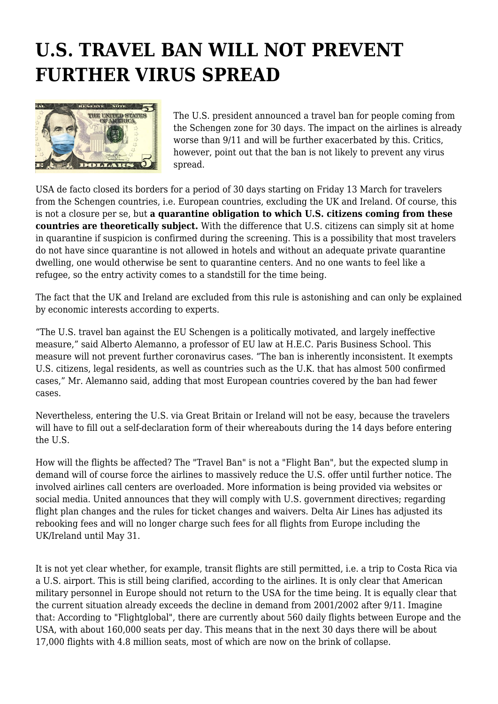## **U.S. TRAVEL BAN WILL NOT PREVENT FURTHER VIRUS SPREAD**



The U.S. president announced a travel ban for people coming from the Schengen zone for 30 days. The impact on the airlines is already worse than 9/11 and will be further exacerbated by this. Critics, however, point out that the ban is not likely to prevent any virus spread.

USA de facto closed its borders for a period of 30 days starting on Friday 13 March for travelers from the Schengen countries, i.e. European countries, excluding the UK and Ireland. Of course, this is not a closure per se, but **a quarantine obligation to which U.S. citizens coming from these countries are theoretically subject.** With the difference that U.S. citizens can simply sit at home in quarantine if suspicion is confirmed during the screening. This is a possibility that most travelers do not have since quarantine is not allowed in hotels and without an adequate private quarantine dwelling, one would otherwise be sent to quarantine centers. And no one wants to feel like a refugee, so the entry activity comes to a standstill for the time being.

The fact that the UK and Ireland are excluded from this rule is astonishing and can only be explained by economic interests according to experts.

"The U.S. travel ban against the EU Schengen is a politically motivated, and largely ineffective measure," said Alberto Alemanno, a professor of EU law at H.E.C. Paris Business School. This measure will not prevent further coronavirus cases. "The ban is inherently inconsistent. It exempts U.S. citizens, legal residents, as well as countries such as the U.K. that has almost 500 confirmed cases," Mr. Alemanno said, adding that most European countries covered by the ban had fewer cases.

Nevertheless, entering the U.S. via Great Britain or Ireland will not be easy, because the travelers will have to fill out a self-declaration form of their whereabouts during the 14 days before entering the U.S.

How will the flights be affected? The "Travel Ban" is not a "Flight Ban", but the expected slump in demand will of course force the airlines to massively reduce the U.S. offer until further notice. The involved airlines call centers are overloaded. More information is being provided via websites or social media. United announces that they will comply with U.S. government directives; regarding flight plan changes and the rules for ticket changes and waivers. Delta Air Lines has adjusted its rebooking fees and will no longer charge such fees for all flights from Europe including the UK/Ireland until May 31.

It is not yet clear whether, for example, transit flights are still permitted, i.e. a trip to Costa Rica via a U.S. airport. This is still being clarified, according to the airlines. It is only clear that American military personnel in Europe should not return to the USA for the time being. It is equally clear that the current situation already exceeds the decline in demand from 2001/2002 after 9/11. Imagine that: According to "Flightglobal", there are currently about 560 daily flights between Europe and the USA, with about 160,000 seats per day. This means that in the next 30 days there will be about 17,000 flights with 4.8 million seats, most of which are now on the brink of collapse.